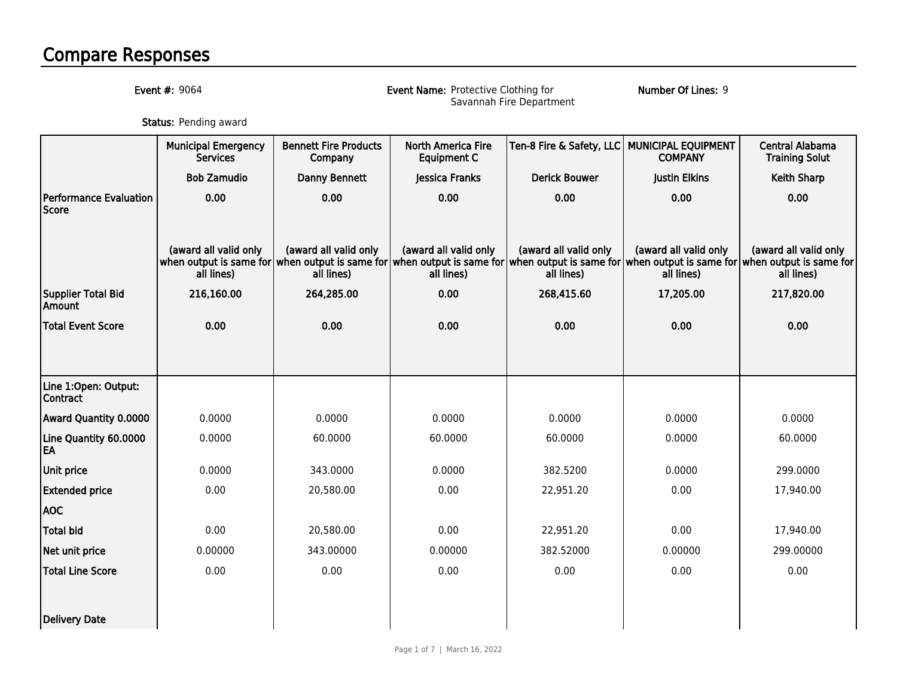## Compare Responses

Event #: 9064

Event Name: Protective Clothing for Savannah Fire Department

Number Of Lines: 9

**Status:** Pending award

|                                               | <b>Municipal Emergency</b><br><b>Services</b> | <b>Bennett Fire Products</b><br>Company                                                                                                                                                                        | <b>North America Fire</b><br><b>Equipment C</b> |                                     | Ten-8 Fire & Safety, LLC MUNICIPAL EQUIPMENT<br><b>COMPANY</b> | <b>Central Alabama</b><br><b>Training Solut</b> |
|-----------------------------------------------|-----------------------------------------------|----------------------------------------------------------------------------------------------------------------------------------------------------------------------------------------------------------------|-------------------------------------------------|-------------------------------------|----------------------------------------------------------------|-------------------------------------------------|
|                                               | <b>Bob Zamudio</b>                            | Danny Bennett                                                                                                                                                                                                  | Jessica Franks                                  | <b>Derick Bouwer</b>                | Justin Elkins                                                  | <b>Keith Sharp</b>                              |
| <b>Performance Evaluation</b><br><b>Score</b> | 0.00                                          | 0.00                                                                                                                                                                                                           | 0.00                                            | 0.00                                | 0.00                                                           | 0.00                                            |
|                                               | (award all valid only<br>all lines)           | (award all valid only<br>when output is same for when output is same for when output is same for when output is same for when output is same for when output is same for when output is same for<br>all lines) | (award all valid only<br>all lines)             | (award all valid only<br>all lines) | (award all valid only<br>all lines)                            | (award all valid only<br>all lines)             |
| <b>Supplier Total Bid</b><br>Amount           | 216,160.00                                    | 264,285.00                                                                                                                                                                                                     | 0.00                                            | 268,415.60                          | 17,205.00                                                      | 217,820.00                                      |
| <b>Total Event Score</b>                      | 0.00                                          | 0.00                                                                                                                                                                                                           | 0.00                                            | 0.00                                | 0.00                                                           | 0.00                                            |
|                                               |                                               |                                                                                                                                                                                                                |                                                 |                                     |                                                                |                                                 |
| Line 1:Open: Output:<br><b>Contract</b>       |                                               |                                                                                                                                                                                                                |                                                 |                                     |                                                                |                                                 |
| <b>Award Quantity 0.0000</b>                  | 0.0000                                        | 0.0000                                                                                                                                                                                                         | 0.0000                                          | 0.0000                              | 0.0000                                                         | 0.0000                                          |
| Line Quantity 60.0000<br>EA                   | 0.0000                                        | 60.0000                                                                                                                                                                                                        | 60.0000                                         | 60.0000                             | 0.0000                                                         | 60.0000                                         |
| <b>Unit price</b>                             | 0.0000                                        | 343.0000                                                                                                                                                                                                       | 0.0000                                          | 382.5200                            | 0.0000                                                         | 299.0000                                        |
| <b>Extended price</b>                         | 0.00                                          | 20,580.00                                                                                                                                                                                                      | 0.00                                            | 22,951.20                           | 0.00                                                           | 17,940.00                                       |
| <b>AOC</b>                                    |                                               |                                                                                                                                                                                                                |                                                 |                                     |                                                                |                                                 |
| <b>Total bid</b>                              | 0.00                                          | 20,580.00                                                                                                                                                                                                      | 0.00                                            | 22,951.20                           | 0.00                                                           | 17,940.00                                       |
| Net unit price                                | 0.00000                                       | 343.00000                                                                                                                                                                                                      | 0.00000                                         | 382.52000                           | 0.00000                                                        | 299.00000                                       |
| <b>Total Line Score</b>                       | 0.00                                          | 0.00                                                                                                                                                                                                           | 0.00                                            | 0.00                                | 0.00                                                           | 0.00                                            |
|                                               |                                               |                                                                                                                                                                                                                |                                                 |                                     |                                                                |                                                 |
| Delivery Date                                 |                                               |                                                                                                                                                                                                                |                                                 |                                     |                                                                |                                                 |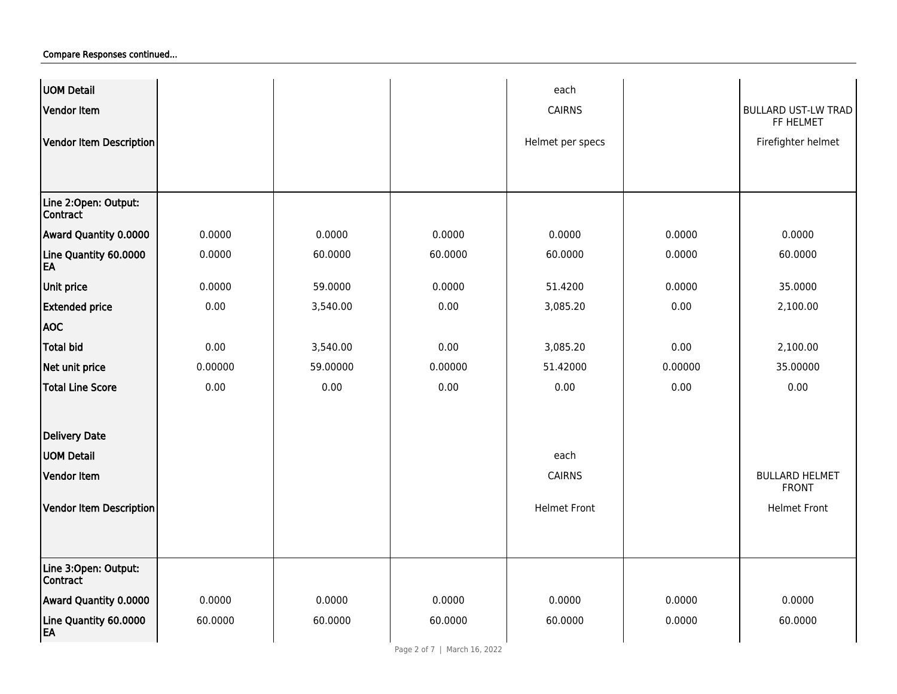| <b>UOM Detail</b>                       |         |          |         | each                |         |                                         |
|-----------------------------------------|---------|----------|---------|---------------------|---------|-----------------------------------------|
| Vendor Item                             |         |          |         | <b>CAIRNS</b>       |         | <b>BULLARD UST-LW TRAD</b><br>FF HELMET |
| Vendor Item Description                 |         |          |         | Helmet per specs    |         | Firefighter helmet                      |
|                                         |         |          |         |                     |         |                                         |
|                                         |         |          |         |                     |         |                                         |
| Line 2:Open: Output:<br><b>Contract</b> |         |          |         |                     |         |                                         |
| Award Quantity 0.0000                   | 0.0000  | 0.0000   | 0.0000  | 0.0000              | 0.0000  | 0.0000                                  |
| Line Quantity 60.0000<br>EA             | 0.0000  | 60.0000  | 60.0000 | 60.0000             | 0.0000  | 60.0000                                 |
| Unit price                              | 0.0000  | 59.0000  | 0.0000  | 51.4200             | 0.0000  | 35.0000                                 |
| <b>Extended price</b>                   | 0.00    | 3,540.00 | 0.00    | 3,085.20            | 0.00    | 2,100.00                                |
| <b>AOC</b>                              |         |          |         |                     |         |                                         |
| <b>Total bid</b>                        | 0.00    | 3,540.00 | 0.00    | 3,085.20            | 0.00    | 2,100.00                                |
| Net unit price                          | 0.00000 | 59.00000 | 0.00000 | 51.42000            | 0.00000 | 35.00000                                |
| <b>Total Line Score</b>                 | 0.00    | 0.00     | 0.00    | 0.00                | 0.00    | 0.00                                    |
| <b>Delivery Date</b>                    |         |          |         |                     |         |                                         |
| <b>UOM Detail</b>                       |         |          |         | each                |         |                                         |
| <b>Vendor Item</b>                      |         |          |         | <b>CAIRNS</b>       |         | <b>BULLARD HELMET</b><br><b>FRONT</b>   |
| Vendor Item Description                 |         |          |         | <b>Helmet Front</b> |         | <b>Helmet Front</b>                     |
|                                         |         |          |         |                     |         |                                         |
| Line 3:Open: Output:<br>Contract        |         |          |         |                     |         |                                         |
| Award Quantity 0.0000                   | 0.0000  | 0.0000   | 0.0000  | 0.0000              | 0.0000  | 0.0000                                  |
| Line Quantity 60.0000<br>EA             | 60.0000 | 60.0000  | 60.0000 | 60.0000             | 0.0000  | 60.0000                                 |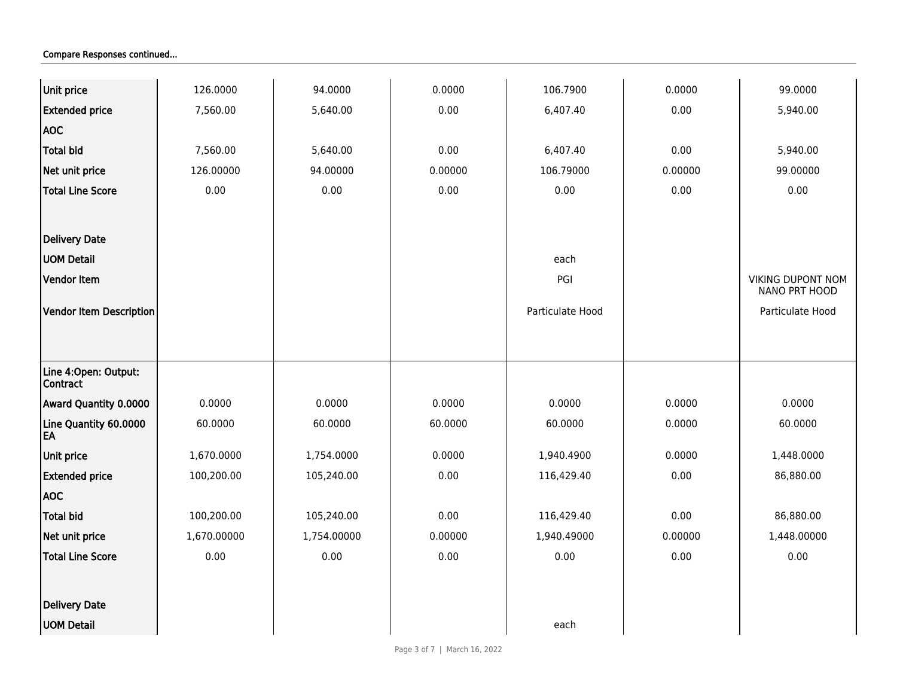| Unit price                               | 126.0000    | 94.0000     | 0.0000  | 106.7900         | 0.0000  | 99.0000                                   |
|------------------------------------------|-------------|-------------|---------|------------------|---------|-------------------------------------------|
| <b>Extended price</b>                    | 7,560.00    | 5,640.00    | 0.00    | 6,407.40         | 0.00    | 5,940.00                                  |
| <b>AOC</b>                               |             |             |         |                  |         |                                           |
| <b>Total bid</b>                         | 7,560.00    | 5,640.00    | 0.00    | 6,407.40         | 0.00    | 5,940.00                                  |
| Net unit price                           | 126.00000   | 94.00000    | 0.00000 | 106.79000        | 0.00000 | 99.00000                                  |
| <b>Total Line Score</b>                  | 0.00        | 0.00        | 0.00    | 0.00             | 0.00    | 0.00                                      |
| Delivery Date                            |             |             |         |                  |         |                                           |
| <b>UOM Detail</b>                        |             |             |         | each             |         |                                           |
| <b>Vendor Item</b>                       |             |             |         | PGI              |         | <b>VIKING DUPONT NOM</b><br>NANO PRT HOOD |
| Vendor Item Description                  |             |             |         | Particulate Hood |         | Particulate Hood                          |
|                                          |             |             |         |                  |         |                                           |
| Line 4: Open: Output:<br><b>Contract</b> |             |             |         |                  |         |                                           |
| Award Quantity 0.0000                    | 0.0000      | 0.0000      | 0.0000  | 0.0000           | 0.0000  | 0.0000                                    |
| Line Quantity 60.0000<br>EA              | 60.0000     | 60.0000     | 60.0000 | 60.0000          | 0.0000  | 60.0000                                   |
| Unit price                               | 1,670.0000  | 1,754.0000  | 0.0000  | 1,940.4900       | 0.0000  | 1,448.0000                                |
| <b>Extended price</b>                    | 100,200.00  | 105,240.00  | 0.00    | 116,429.40       | 0.00    | 86,880.00                                 |
| <b>AOC</b>                               |             |             |         |                  |         |                                           |
| <b>Total bid</b>                         | 100,200.00  | 105,240.00  | 0.00    | 116,429.40       | 0.00    | 86,880.00                                 |
| Net unit price                           | 1,670.00000 | 1,754.00000 | 0.00000 | 1,940.49000      | 0.00000 | 1,448.00000                               |
| <b>Total Line Score</b>                  | 0.00        | 0.00        | 0.00    | 0.00             | 0.00    | 0.00                                      |
| Delivery Date                            |             |             |         |                  |         |                                           |
| <b>UOM Detail</b>                        |             |             |         | each             |         |                                           |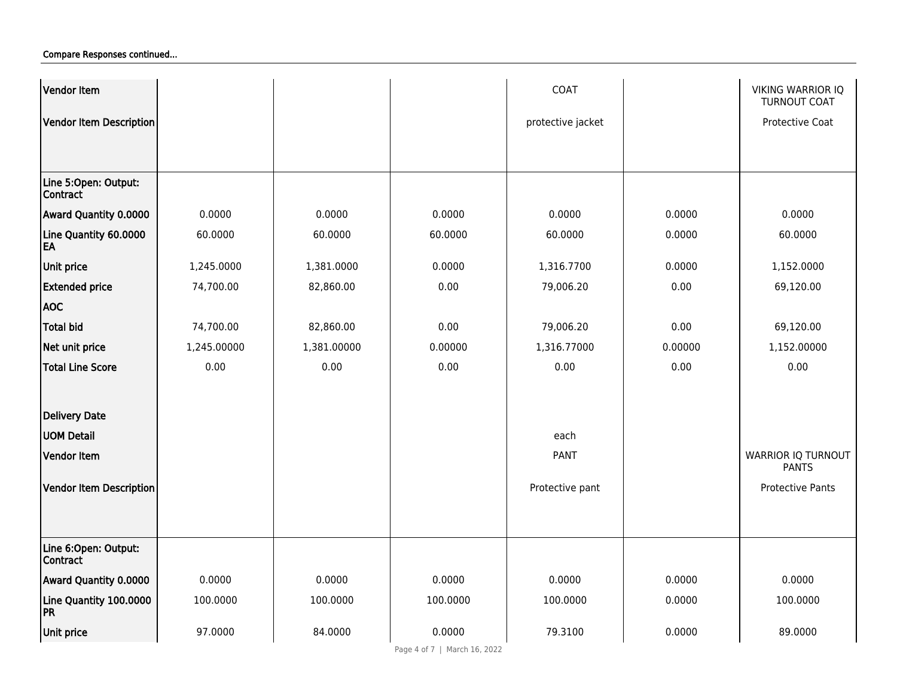| Vendor Item                             |             |             |          | COAT              |         | <b>VIKING WARRIOR IQ</b><br><b>TURNOUT COAT</b> |
|-----------------------------------------|-------------|-------------|----------|-------------------|---------|-------------------------------------------------|
| Vendor Item Description                 |             |             |          | protective jacket |         | Protective Coat                                 |
|                                         |             |             |          |                   |         |                                                 |
|                                         |             |             |          |                   |         |                                                 |
| Line 5:Open: Output:<br><b>Contract</b> |             |             |          |                   |         |                                                 |
| Award Quantity 0.0000                   | 0.0000      | 0.0000      | 0.0000   | 0.0000            | 0.0000  | 0.0000                                          |
| Line Quantity 60.0000<br>EA             | 60.0000     | 60.0000     | 60.0000  | 60.0000           | 0.0000  | 60.0000                                         |
| Unit price                              | 1,245.0000  | 1,381.0000  | 0.0000   | 1,316.7700        | 0.0000  | 1,152.0000                                      |
| <b>Extended price</b>                   | 74,700.00   | 82,860.00   | 0.00     | 79,006.20         | 0.00    | 69,120.00                                       |
| <b>AOC</b>                              |             |             |          |                   |         |                                                 |
| <b>Total bid</b>                        | 74,700.00   | 82,860.00   | 0.00     | 79,006.20         | 0.00    | 69,120.00                                       |
| Net unit price                          | 1,245.00000 | 1,381.00000 | 0.00000  | 1,316.77000       | 0.00000 | 1,152.00000                                     |
| <b>Total Line Score</b>                 | 0.00        | 0.00        | 0.00     | 0.00              | 0.00    | 0.00                                            |
|                                         |             |             |          |                   |         |                                                 |
| <b>Delivery Date</b>                    |             |             |          |                   |         |                                                 |
| UOM Detail                              |             |             |          | each              |         |                                                 |
| <b>Vendor Item</b>                      |             |             |          | <b>PANT</b>       |         | <b>WARRIOR IQ TURNOUT</b><br><b>PANTS</b>       |
| Vendor Item Description                 |             |             |          | Protective pant   |         | <b>Protective Pants</b>                         |
|                                         |             |             |          |                   |         |                                                 |
|                                         |             |             |          |                   |         |                                                 |
| Line 6:Open: Output:<br>Contract        |             |             |          |                   |         |                                                 |
| Award Quantity 0.0000                   | 0.0000      | 0.0000      | 0.0000   | 0.0000            | 0.0000  | 0.0000                                          |
| Line Quantity 100.0000<br>PR            | 100.0000    | 100.0000    | 100.0000 | 100.0000          | 0.0000  | 100.0000                                        |
| Unit price                              | 97.0000     | 84.0000     | 0.0000   | 79.3100           | 0.0000  | 89.0000                                         |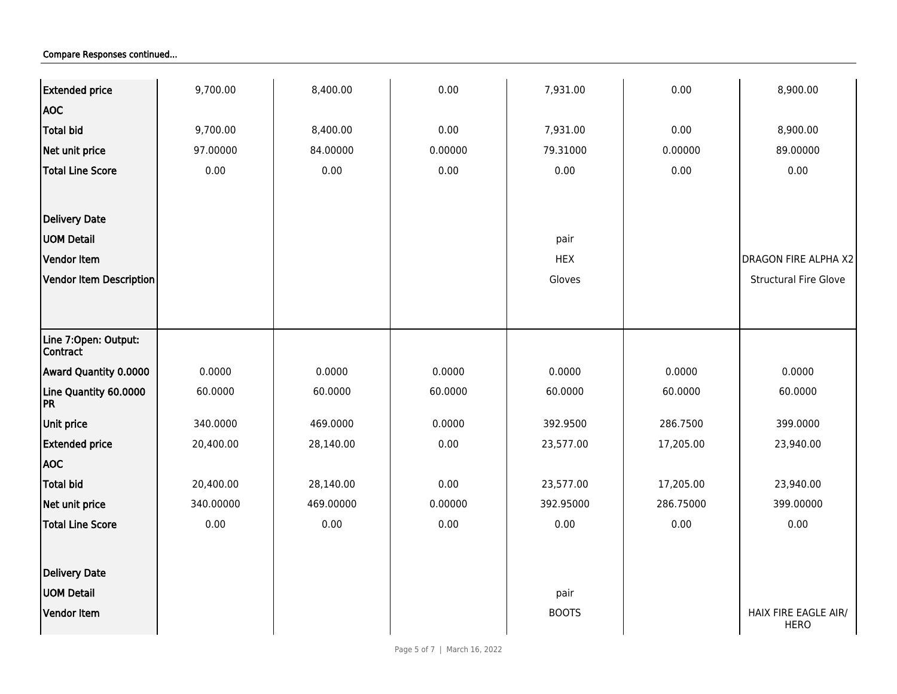| <b>Extended price</b>            | 9,700.00  | 8,400.00  | 0.00    | 7,931.00     | 0.00      | 8,900.00                            |
|----------------------------------|-----------|-----------|---------|--------------|-----------|-------------------------------------|
| <b>AOC</b>                       |           |           |         |              |           |                                     |
| Total bid                        | 9,700.00  | 8,400.00  | 0.00    | 7,931.00     | 0.00      | 8,900.00                            |
| Net unit price                   | 97.00000  | 84.00000  | 0.00000 | 79.31000     | 0.00000   | 89.00000                            |
| <b>Total Line Score</b>          | 0.00      | 0.00      | 0.00    | 0.00         | 0.00      | 0.00                                |
|                                  |           |           |         |              |           |                                     |
|                                  |           |           |         |              |           |                                     |
| <b>Delivery Date</b>             |           |           |         |              |           |                                     |
| <b>UOM Detail</b>                |           |           |         | pair         |           |                                     |
| Vendor Item                      |           |           |         | <b>HEX</b>   |           | <b>DRAGON FIRE ALPHA X2</b>         |
| Vendor Item Description          |           |           |         | Gloves       |           | <b>Structural Fire Glove</b>        |
|                                  |           |           |         |              |           |                                     |
| Line 7:Open: Output:<br>Contract |           |           |         |              |           |                                     |
| Award Quantity 0.0000            | 0.0000    | 0.0000    | 0.0000  | 0.0000       | 0.0000    | 0.0000                              |
| Line Quantity 60.0000<br>PR      | 60.0000   | 60.0000   | 60.0000 | 60.0000      | 60.0000   | 60.0000                             |
| Unit price                       | 340.0000  | 469.0000  | 0.0000  | 392.9500     | 286.7500  | 399.0000                            |
| <b>Extended price</b>            | 20,400.00 | 28,140.00 | 0.00    | 23,577.00    | 17,205.00 | 23,940.00                           |
| <b>AOC</b>                       |           |           |         |              |           |                                     |
| <b>Total bid</b>                 | 20,400.00 | 28,140.00 | 0.00    | 23,577.00    | 17,205.00 | 23,940.00                           |
| Net unit price                   | 340.00000 | 469.00000 | 0.00000 | 392.95000    | 286.75000 | 399.00000                           |
| <b>Total Line Score</b>          | 0.00      | 0.00      | 0.00    | 0.00         | 0.00      | 0.00                                |
|                                  |           |           |         |              |           |                                     |
| <b>Delivery Date</b>             |           |           |         |              |           |                                     |
| <b>UOM Detail</b>                |           |           |         | pair         |           |                                     |
| Vendor Item                      |           |           |         | <b>BOOTS</b> |           | HAIX FIRE EAGLE AIR/<br><b>HERO</b> |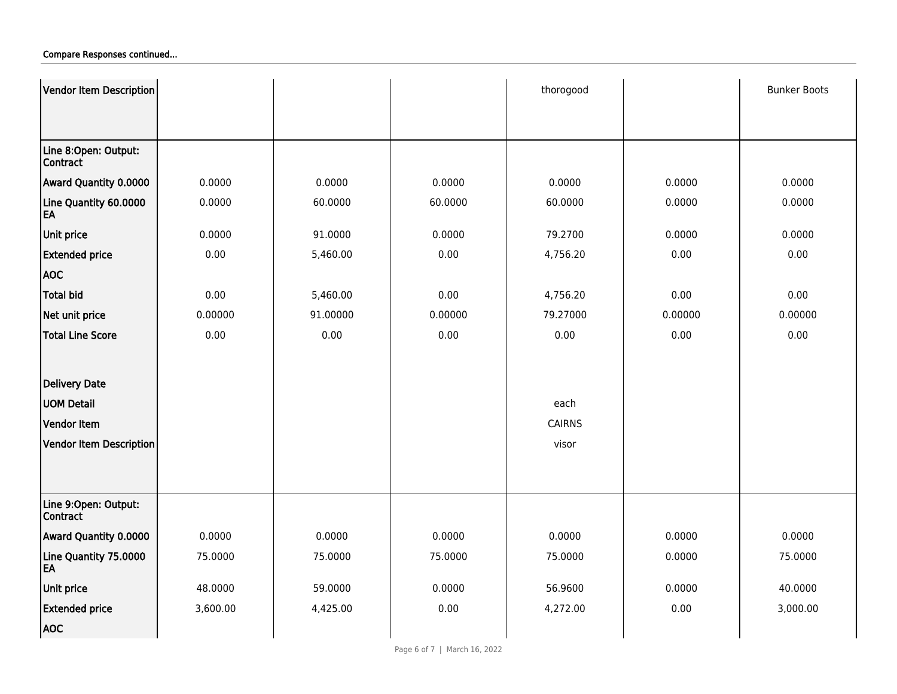| Vendor Item Description                 |          |          |         | thorogood     |         | <b>Bunker Boots</b> |
|-----------------------------------------|----------|----------|---------|---------------|---------|---------------------|
|                                         |          |          |         |               |         |                     |
|                                         |          |          |         |               |         |                     |
| Line 8:Open: Output:<br><b>Contract</b> |          |          |         |               |         |                     |
| Award Quantity 0.0000                   | 0.0000   | 0.0000   | 0.0000  | 0.0000        | 0.0000  | 0.0000              |
| Line Quantity 60.0000<br>EA             | 0.0000   | 60.0000  | 60.0000 | 60.0000       | 0.0000  | 0.0000              |
| Unit price                              | 0.0000   | 91.0000  | 0.0000  | 79.2700       | 0.0000  | 0.0000              |
| <b>Extended price</b>                   | 0.00     | 5,460.00 | 0.00    | 4,756.20      | 0.00    | 0.00                |
| <b>AOC</b>                              |          |          |         |               |         |                     |
| <b>Total bid</b>                        | 0.00     | 5,460.00 | 0.00    | 4,756.20      | 0.00    | 0.00                |
| Net unit price                          | 0.00000  | 91.00000 | 0.00000 | 79.27000      | 0.00000 | 0.00000             |
| <b>Total Line Score</b>                 | 0.00     | 0.00     | 0.00    | 0.00          | 0.00    | 0.00                |
|                                         |          |          |         |               |         |                     |
| Delivery Date                           |          |          |         |               |         |                     |
| <b>UOM Detail</b>                       |          |          |         | each          |         |                     |
| <b>Vendor Item</b>                      |          |          |         | <b>CAIRNS</b> |         |                     |
| Vendor Item Description                 |          |          |         | visor         |         |                     |
|                                         |          |          |         |               |         |                     |
|                                         |          |          |         |               |         |                     |
| Line 9:Open: Output:<br>Contract        |          |          |         |               |         |                     |
| <b>Award Quantity 0.0000</b>            | 0.0000   | 0.0000   | 0.0000  | 0.0000        | 0.0000  | 0.0000              |
| Line Quantity 75.0000<br>EA             | 75.0000  | 75.0000  | 75.0000 | 75.0000       | 0.0000  | 75.0000             |
| Unit price                              | 48.0000  | 59.0000  | 0.0000  | 56.9600       | 0.0000  | 40.0000             |
| <b>Extended price</b>                   | 3,600.00 | 4,425.00 | 0.00    | 4,272.00      | 0.00    | 3,000.00            |
| <b>AOC</b>                              |          |          |         |               |         |                     |